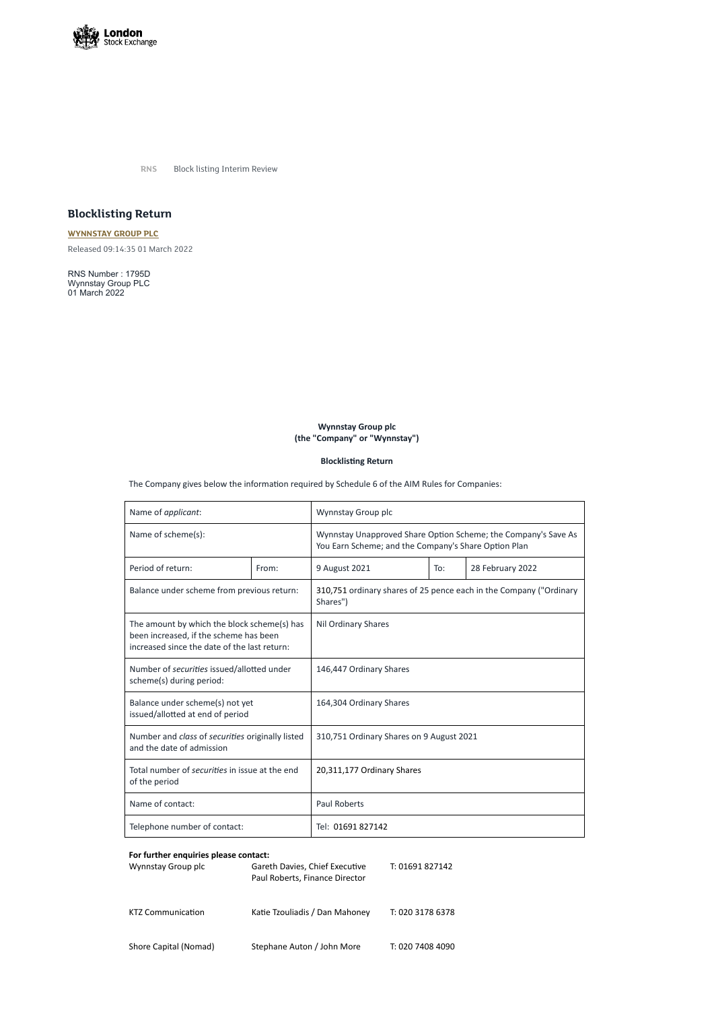

**RNS** Block listing Interim Review

## **Blocklisting Return**

**[WYNNSTAY](https://www.londonstockexchange.com/stock/WYN/wynnstay-group-plc) GROUP PLC** Released 09:14:35 01 March 2022

RNS Number : 1795D Wynnstay Group PLC 01 March 2022

## **Wynnstay Group plc (the "Company" or "Wynnstay")**

**Blocklisting Return**

The Company gives below the information required by Schedule 6 of the AIM Rules for Companies:

| Name of applicant:                                                                                                                    |       | Wynnstay Group plc                                                                                                     |     |                  |
|---------------------------------------------------------------------------------------------------------------------------------------|-------|------------------------------------------------------------------------------------------------------------------------|-----|------------------|
| Name of scheme(s):                                                                                                                    |       | Wynnstay Unapproved Share Option Scheme; the Company's Save As<br>You Earn Scheme; and the Company's Share Option Plan |     |                  |
| Period of return:                                                                                                                     | From: | 9 August 2021                                                                                                          | To: | 28 February 2022 |
| Balance under scheme from previous return:                                                                                            |       | 310,751 ordinary shares of 25 pence each in the Company ("Ordinary<br>Shares")                                         |     |                  |
| The amount by which the block scheme(s) has<br>been increased, if the scheme has been<br>increased since the date of the last return: |       | <b>Nil Ordinary Shares</b>                                                                                             |     |                  |
| Number of securities issued/allotted under<br>scheme(s) during period:                                                                |       | 146,447 Ordinary Shares                                                                                                |     |                  |
| Balance under scheme(s) not yet<br>issued/allotted at end of period                                                                   |       | 164,304 Ordinary Shares                                                                                                |     |                  |
| Number and class of securities originally listed<br>and the date of admission                                                         |       | 310,751 Ordinary Shares on 9 August 2021                                                                               |     |                  |
| Total number of securities in issue at the end<br>of the period                                                                       |       | 20,311,177 Ordinary Shares                                                                                             |     |                  |
| Name of contact:                                                                                                                      |       | <b>Paul Roberts</b>                                                                                                    |     |                  |
| Telephone number of contact:                                                                                                          |       | Tel: 01691 827142                                                                                                      |     |                  |

## **For further enquiries please contact:**

| Wynnstay Group plc | Gareth Davies, Chief Executive | T: 01691 827142 |
|--------------------|--------------------------------|-----------------|
|                    | Paul Roberts, Finance Director |                 |

KTZ Communication Katie Tzouliadis / Dan Mahoney T: 020 3178 6378

Shore Capital (Nomad) Stephane Auton / John More T: 020 7408 4090